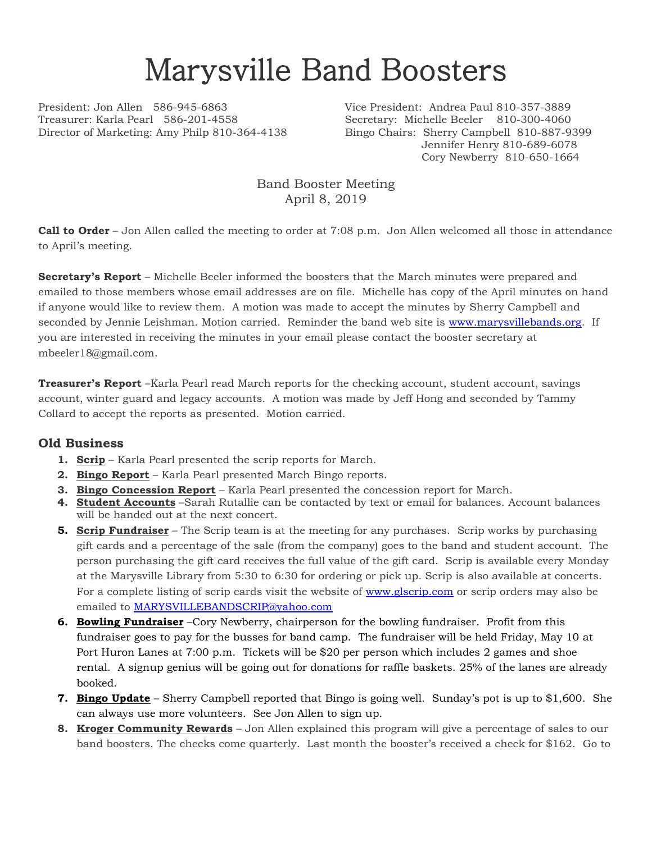## Marysville Band Boosters

President: Jon Allen 586-945-6863 Vice President: Andrea Paul 810-357-3889 Treasurer: Karla Pearl 586-201-4558 Secretary: Michelle Beeler 810-300-4060 Director of Marketing: Amy Philp 810-364-4138 Bingo Chairs: Sherry Campbell 810-887-9399

Jennifer Henry 810-689-6078 Cory Newberry 810-650-1664

Band Booster Meeting April 8, 2019

**Call to Order** – Jon Allen called the meeting to order at 7:08 p.m. Jon Allen welcomed all those in attendance to April's meeting.

**Secretary's Report** – Michelle Beeler informed the boosters that the March minutes were prepared and emailed to those members whose email addresses are on file. Michelle has copy of the April minutes on hand if anyone would like to review them. A motion was made to accept the minutes by Sherry Campbell and seconded by Jennie Leishman. Motion carried. Reminder the band web site is [www.marysvillebands.org.](http://www.marysvillebands.org/) If you are interested in receiving the minutes in your email please contact the booster secretary at mbeeler18@gmail.com.

**Treasurer's Report** –Karla Pearl read March reports for the checking account, student account, savings account, winter guard and legacy accounts. A motion was made by Jeff Hong and seconded by Tammy Collard to accept the reports as presented. Motion carried.

## **Old Business**

- **1. Scrip** Karla Pearl presented the scrip reports for March.
- **2. Bingo Report** Karla Pearl presented March Bingo reports.
- **3. Bingo Concession Report** Karla Pearl presented the concession report for March.
- **4. Student Accounts** –Sarah Rutallie can be contacted by text or email for balances. Account balances will be handed out at the next concert.
- **5. Scrip Fundraiser** The Scrip team is at the meeting for any purchases. Scrip works by purchasing gift cards and a percentage of the sale (from the company) goes to the band and student account. The person purchasing the gift card receives the full value of the gift card. Scrip is available every Monday at the Marysville Library from 5:30 to 6:30 for ordering or pick up. Scrip is also available at concerts. For a complete listing of scrip cards visit the website of [www.glscrip.com](http://www.glscrip.com/) or scrip orders may also be emailed to [MARYSVILLEBANDSCRIP@yahoo.com](mailto:MARYSVILLEBANDSCRIP@yahoo.com)
- **6. Bowling Fundraiser** –Cory Newberry, chairperson for the bowling fundraiser. Profit from this fundraiser goes to pay for the busses for band camp. The fundraiser will be held Friday, May 10 at Port Huron Lanes at 7:00 p.m. Tickets will be \$20 per person which includes 2 games and shoe rental. A signup genius will be going out for donations for raffle baskets. 25% of the lanes are already booked.
- **7. Bingo Update** Sherry Campbell reported that Bingo is going well. Sunday's pot is up to \$1,600. She can always use more volunteers. See Jon Allen to sign up.
- **8. Kroger Community Rewards** Jon Allen explained this program will give a percentage of sales to our band boosters. The checks come quarterly. Last month the booster's received a check for \$162. Go to